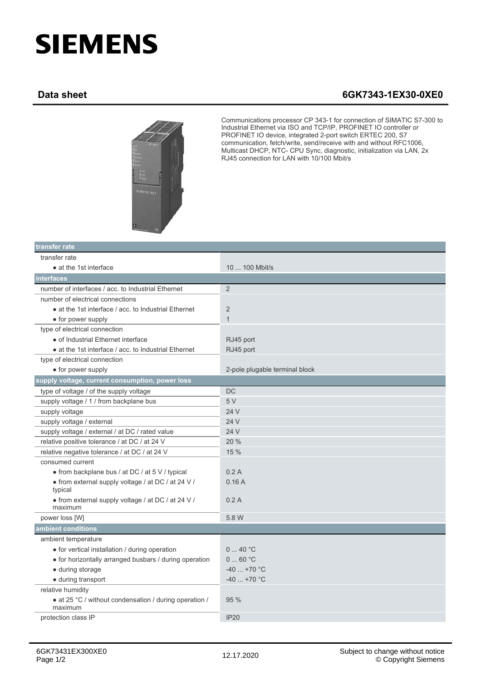## **SIEMENS**

## **Data sheet 6GK7343-1EX30-0XE0**



Communications processor CP 343-1 for connection of SIMATIC S7-300 to Industrial Ethernet via ISO and TCP/IP, PROFINET IO controller or PROFINET IO device, integrated 2-port switch ERTEC 200, S7 communication, fetch/write, send/receive with and without RFC1006, Multicast DHCP, NTC- CPU Sync, diagnostic, initialization via LAN, 2x RJ45 connection for LAN with 10/100 Mbit/s

| transfer rate                                                     |                                |  |
|-------------------------------------------------------------------|--------------------------------|--|
| transfer rate                                                     |                                |  |
| • at the 1st interface                                            | 10  100 Mbit/s                 |  |
| interfaces                                                        |                                |  |
| number of interfaces / acc. to Industrial Ethernet                | 2                              |  |
| number of electrical connections                                  |                                |  |
| • at the 1st interface / acc. to Industrial Ethernet              | 2                              |  |
| • for power supply                                                | $\mathbf{1}$                   |  |
| type of electrical connection                                     |                                |  |
| • of Industrial Ethernet interface                                | RJ45 port                      |  |
| • at the 1st interface / acc. to Industrial Ethernet              | RJ45 port                      |  |
| type of electrical connection                                     |                                |  |
| • for power supply                                                | 2-pole plugable terminal block |  |
| supply voltage, current consumption, power loss                   |                                |  |
| type of voltage / of the supply voltage                           | <b>DC</b>                      |  |
| supply voltage / 1 / from backplane bus                           | 5V                             |  |
| supply voltage                                                    | 24 V                           |  |
| supply voltage / external                                         | 24 V                           |  |
| supply voltage / external / at DC / rated value                   | 24 V                           |  |
| relative positive tolerance / at DC / at 24 V                     | 20 %                           |  |
| relative negative tolerance / at DC / at 24 V                     | 15 %                           |  |
| consumed current                                                  |                                |  |
| • from backplane bus / at DC / at 5 V / typical                   | 0.2A                           |  |
| • from external supply voltage / at DC / at 24 V /<br>typical     | 0.16A                          |  |
| • from external supply voltage / at DC / at 24 V /<br>maximum     | 0.2A                           |  |
| power loss [W]                                                    | 5.8 W                          |  |
| ambient conditions                                                |                                |  |
| ambient temperature                                               |                                |  |
| • for vertical installation / during operation                    | 040 °C                         |  |
| • for horizontally arranged busbars / during operation            | 060 °C                         |  |
| • during storage                                                  | $-40$ +70 °C                   |  |
| • during transport                                                | $-40+70$ °C                    |  |
| relative humidity                                                 |                                |  |
| • at 25 °C / without condensation / during operation /<br>maximum | 95 %                           |  |
| protection class IP                                               | <b>IP20</b>                    |  |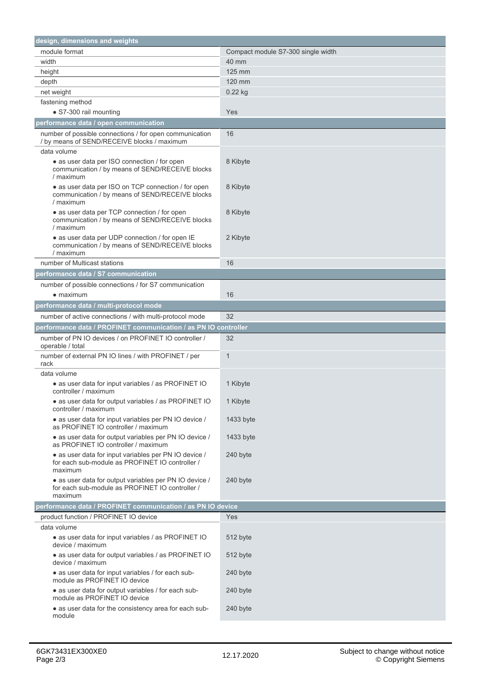| design, dimensions and weights                                                                                       |                                    |
|----------------------------------------------------------------------------------------------------------------------|------------------------------------|
| module format                                                                                                        | Compact module S7-300 single width |
| width                                                                                                                | 40 mm                              |
| height                                                                                                               | 125 mm                             |
| depth                                                                                                                | 120 mm                             |
| net weight                                                                                                           | $0.22$ kg                          |
| fastening method                                                                                                     |                                    |
| • S7-300 rail mounting                                                                                               | Yes                                |
| performance data / open communication                                                                                |                                    |
| number of possible connections / for open communication<br>/ by means of SEND/RECEIVE blocks / maximum               | 16                                 |
| data volume                                                                                                          |                                    |
| • as user data per ISO connection / for open<br>communication / by means of SEND/RECEIVE blocks<br>/ maximum         | 8 Kibyte                           |
| • as user data per ISO on TCP connection / for open<br>communication / by means of SEND/RECEIVE blocks<br>/ maximum  | 8 Kibyte                           |
| • as user data per TCP connection / for open<br>communication / by means of SEND/RECEIVE blocks<br>/ maximum         | 8 Kibyte                           |
| • as user data per UDP connection / for open IE<br>communication / by means of SEND/RECEIVE blocks<br>/ maximum      | 2 Kibyte                           |
| number of Multicast stations                                                                                         | 16                                 |
| performance data / S7 communication                                                                                  |                                    |
| number of possible connections / for S7 communication                                                                |                                    |
| $\bullet$ maximum                                                                                                    | 16                                 |
| performance data / multi-protocol mode                                                                               |                                    |
| number of active connections / with multi-protocol mode                                                              | 32                                 |
| performance data / PROFINET communication / as PN IO controller                                                      |                                    |
| number of PN IO devices / on PROFINET IO controller /<br>operable / total                                            | 32                                 |
| number of external PN IO lines / with PROFINET / per<br>rack                                                         | $\mathbf{1}$                       |
| data volume                                                                                                          |                                    |
| • as user data for input variables / as PROFINET IO<br>controller / maximum                                          | 1 Kibyte                           |
| · as user data for output variables / as PROFINET IO<br>controller / maximum                                         | 1 Kibyte                           |
| • as user data for input variables per PN IO device /<br>as PROFINET IO controller / maximum                         | 1433 byte                          |
| • as user data for output variables per PN IO device /<br>as PROFINET IO controller / maximum                        | 1433 byte                          |
| • as user data for input variables per PN IO device /<br>for each sub-module as PROFINET IO controller /<br>maximum  | 240 byte                           |
| • as user data for output variables per PN IO device /<br>for each sub-module as PROFINET IO controller /<br>maximum | 240 byte                           |
| performance data / PROFINET communication / as PN IO device                                                          |                                    |
| product function / PROFINET IO device                                                                                | Yes                                |
| data volume                                                                                                          |                                    |
| • as user data for input variables / as PROFINET IO<br>device / maximum                                              | 512 byte                           |
| • as user data for output variables / as PROFINET IO<br>device / maximum                                             | 512 byte                           |
| • as user data for input variables / for each sub-<br>module as PROFINET IO device                                   | 240 byte                           |
| · as user data for output variables / for each sub-<br>module as PROFINET IO device                                  | 240 byte                           |
| • as user data for the consistency area for each sub-<br>module                                                      | 240 byte                           |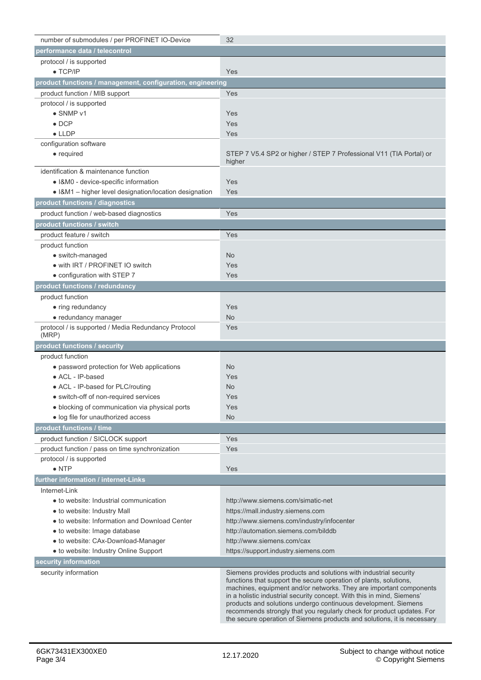| number of submodules / per PROFINET IO-Device                | 32                                                                                                                                                                                                                                                                                                                                                                                                                                                                                                          |
|--------------------------------------------------------------|-------------------------------------------------------------------------------------------------------------------------------------------------------------------------------------------------------------------------------------------------------------------------------------------------------------------------------------------------------------------------------------------------------------------------------------------------------------------------------------------------------------|
| performance data / telecontrol                               |                                                                                                                                                                                                                                                                                                                                                                                                                                                                                                             |
| protocol / is supported                                      |                                                                                                                                                                                                                                                                                                                                                                                                                                                                                                             |
| $\bullet$ TCP/IP                                             | Yes                                                                                                                                                                                                                                                                                                                                                                                                                                                                                                         |
| product functions / management, configuration, engineering   |                                                                                                                                                                                                                                                                                                                                                                                                                                                                                                             |
| product function / MIB support                               | Yes                                                                                                                                                                                                                                                                                                                                                                                                                                                                                                         |
| protocol / is supported                                      |                                                                                                                                                                                                                                                                                                                                                                                                                                                                                                             |
| • SNMP v1                                                    | Yes                                                                                                                                                                                                                                                                                                                                                                                                                                                                                                         |
| $\bullet$ DCP                                                | Yes                                                                                                                                                                                                                                                                                                                                                                                                                                                                                                         |
| $\bullet$ LLDP                                               | Yes                                                                                                                                                                                                                                                                                                                                                                                                                                                                                                         |
| configuration software                                       |                                                                                                                                                                                                                                                                                                                                                                                                                                                                                                             |
| $\bullet$ required                                           | STEP 7 V5.4 SP2 or higher / STEP 7 Professional V11 (TIA Portal) or<br>higher                                                                                                                                                                                                                                                                                                                                                                                                                               |
| identification & maintenance function                        |                                                                                                                                                                                                                                                                                                                                                                                                                                                                                                             |
| • I&M0 - device-specific information                         | Yes                                                                                                                                                                                                                                                                                                                                                                                                                                                                                                         |
| • I&M1 - higher level designation/location designation       | Yes                                                                                                                                                                                                                                                                                                                                                                                                                                                                                                         |
| product functions / diagnostics                              |                                                                                                                                                                                                                                                                                                                                                                                                                                                                                                             |
| product function / web-based diagnostics                     | Yes                                                                                                                                                                                                                                                                                                                                                                                                                                                                                                         |
| product functions / switch                                   |                                                                                                                                                                                                                                                                                                                                                                                                                                                                                                             |
| product feature / switch                                     | Yes                                                                                                                                                                                                                                                                                                                                                                                                                                                                                                         |
| product function                                             |                                                                                                                                                                                                                                                                                                                                                                                                                                                                                                             |
| • switch-managed                                             | N <sub>o</sub>                                                                                                                                                                                                                                                                                                                                                                                                                                                                                              |
| • with IRT / PROFINET IO switch                              | Yes                                                                                                                                                                                                                                                                                                                                                                                                                                                                                                         |
| • configuration with STEP 7                                  | Yes                                                                                                                                                                                                                                                                                                                                                                                                                                                                                                         |
| product functions / redundancy                               |                                                                                                                                                                                                                                                                                                                                                                                                                                                                                                             |
| product function                                             |                                                                                                                                                                                                                                                                                                                                                                                                                                                                                                             |
| • ring redundancy                                            | Yes                                                                                                                                                                                                                                                                                                                                                                                                                                                                                                         |
| • redundancy manager                                         | <b>No</b>                                                                                                                                                                                                                                                                                                                                                                                                                                                                                                   |
| protocol / is supported / Media Redundancy Protocol<br>(MRP) | Yes                                                                                                                                                                                                                                                                                                                                                                                                                                                                                                         |
| product functions / security                                 |                                                                                                                                                                                                                                                                                                                                                                                                                                                                                                             |
| product function                                             |                                                                                                                                                                                                                                                                                                                                                                                                                                                                                                             |
| • password protection for Web applications                   | N <sub>o</sub>                                                                                                                                                                                                                                                                                                                                                                                                                                                                                              |
| • ACL - IP-based                                             | Yes                                                                                                                                                                                                                                                                                                                                                                                                                                                                                                         |
| • ACL - IP-based for PLC/routing                             | <b>No</b>                                                                                                                                                                                                                                                                                                                                                                                                                                                                                                   |
| · switch-off of non-required services                        | Yes                                                                                                                                                                                                                                                                                                                                                                                                                                                                                                         |
| · blocking of communication via physical ports               | Yes                                                                                                                                                                                                                                                                                                                                                                                                                                                                                                         |
| • log file for unauthorized access                           | <b>No</b>                                                                                                                                                                                                                                                                                                                                                                                                                                                                                                   |
| product functions / time                                     |                                                                                                                                                                                                                                                                                                                                                                                                                                                                                                             |
| product function / SICLOCK support                           | Yes                                                                                                                                                                                                                                                                                                                                                                                                                                                                                                         |
| product function / pass on time synchronization              | Yes                                                                                                                                                                                                                                                                                                                                                                                                                                                                                                         |
| protocol / is supported                                      |                                                                                                                                                                                                                                                                                                                                                                                                                                                                                                             |
| $\bullet$ NTP                                                | Yes                                                                                                                                                                                                                                                                                                                                                                                                                                                                                                         |
| further information / internet-Links                         |                                                                                                                                                                                                                                                                                                                                                                                                                                                                                                             |
| Internet-Link                                                |                                                                                                                                                                                                                                                                                                                                                                                                                                                                                                             |
| • to website: Industrial communication                       | http://www.siemens.com/simatic-net                                                                                                                                                                                                                                                                                                                                                                                                                                                                          |
| • to website: Industry Mall                                  | https://mall.industry.siemens.com                                                                                                                                                                                                                                                                                                                                                                                                                                                                           |
| · to website: Information and Download Center                | http://www.siemens.com/industry/infocenter                                                                                                                                                                                                                                                                                                                                                                                                                                                                  |
| • to website: Image database                                 | http://automation.siemens.com/bilddb                                                                                                                                                                                                                                                                                                                                                                                                                                                                        |
| • to website: CAx-Download-Manager                           | http://www.siemens.com/cax                                                                                                                                                                                                                                                                                                                                                                                                                                                                                  |
| • to website: Industry Online Support                        | https://support.industry.siemens.com                                                                                                                                                                                                                                                                                                                                                                                                                                                                        |
| security information                                         |                                                                                                                                                                                                                                                                                                                                                                                                                                                                                                             |
| security information                                         | Siemens provides products and solutions with industrial security<br>functions that support the secure operation of plants, solutions,<br>machines, equipment and/or networks. They are important components<br>in a holistic industrial security concept. With this in mind, Siemens'<br>products and solutions undergo continuous development. Siemens<br>recommends strongly that you regularly check for product updates. For<br>the secure operation of Siemens products and solutions, it is necessary |